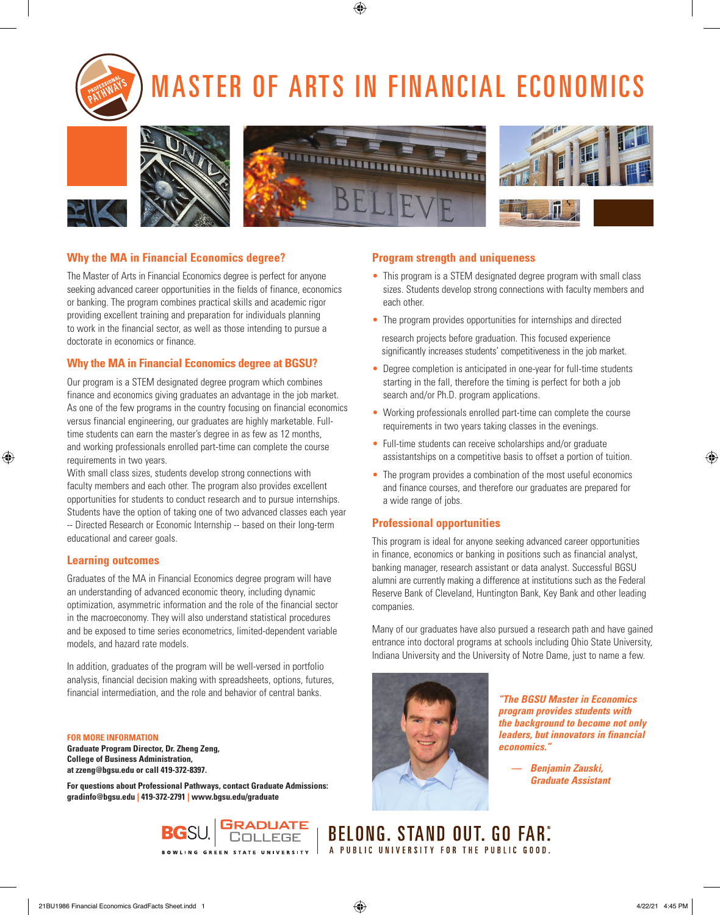## MASTER OF ARTS IN FINANCIAL ECONOMICS









⊕



#### **Why the MA in Financial Economics degree?**

The Master of Arts in Financial Economics degree is perfect for anyone seeking advanced career opportunities in the fields of finance, economics or banking. The program combines practical skills and academic rigor providing excellent training and preparation for individuals planning to work in the financial sector, as well as those intending to pursue a doctorate in economics or finance.

#### **Why the MA in Financial Economics degree at BGSU?**

Our program is a STEM designated degree program which combines finance and economics giving graduates an advantage in the job market. As one of the few programs in the country focusing on financial economics versus financial engineering, our graduates are highly marketable. Fulltime students can earn the master's degree in as few as 12 months, and working professionals enrolled part-time can complete the course requirements in two years.

With small class sizes, students develop strong connections with faculty members and each other. The program also provides excellent opportunities for students to conduct research and to pursue internships. Students have the option of taking one of two advanced classes each year -- Directed Research or Economic Internship -- based on their long-term educational and career goals.

#### **Learning outcomes**

 $\textcircled{\scriptsize{*}}$ 

Graduates of the MA in Financial Economics degree program will have an understanding of advanced economic theory, including dynamic optimization, asymmetric information and the role of the financial sector in the macroeconomy. They will also understand statistical procedures and be exposed to time series econometrics, limited-dependent variable models, and hazard rate models.

In addition, graduates of the program will be well-versed in portfolio analysis, financial decision making with spreadsheets, options, futures, financial intermediation, and the role and behavior of central banks.

**FOR MORE INFORMATION Graduate Program Director, Dr. Zheng Zeng, College of Business Administration, at zzeng@bgsu.edu or call 419-372-8397.**

**For questions about Professional Pathways, contact Graduate Admissions: gradinfo@bgsu.edu | 419-372-2791 | www.bgsu.edu/graduate**

#### **Program strength and uniqueness**

- This program is a STEM designated degree program with small class sizes. Students develop strong connections with faculty members and each other.
- The program provides opportunities for internships and directed
- research projects before graduation. This focused experience significantly increases students' competitiveness in the job market.
- Degree completion is anticipated in one-year for full-time students starting in the fall, therefore the timing is perfect for both a job search and/or Ph.D. program applications.
- Working professionals enrolled part-time can complete the course requirements in two years taking classes in the evenings.
- Full-time students can receive scholarships and/or graduate assistantships on a competitive basis to offset a portion of tuition.
- The program provides a combination of the most useful economics and finance courses, and therefore our graduates are prepared for a wide range of jobs.

#### **Professional opportunities**

This program is ideal for anyone seeking advanced career opportunities in finance, economics or banking in positions such as financial analyst, banking manager, research assistant or data analyst. Successful BGSU alumni are currently making a difference at institutions such as the Federal Reserve Bank of Cleveland, Huntington Bank, Key Bank and other leading companies.

Many of our graduates have also pursued a research path and have gained entrance into doctoral programs at schools including Ohio State University, Indiana University and the University of Notre Dame, just to name a few.



**BELONG. STAND OUT. GO FAR.** A PUBLIC UNIVERSITY FOR THE PUBLIC GOOD.

*"The BGSU Master in Economics program provides students with the background to become not only leaders, but innovators in financial economics."* 

> *— Benjamin Zauski, Graduate Assistant*

**du.**<br>Ng green state university

⊕